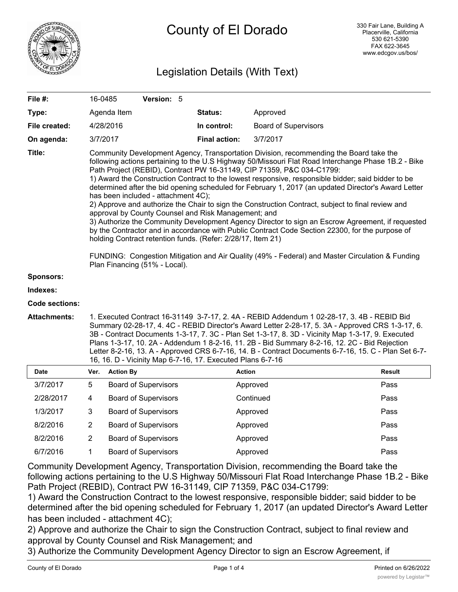

# Legislation Details (With Text)

| File #:               |                                                                                                                                                                                                                                                                                                                                                                                                                                                                                                                                                                                                                                                                                                                                                                                                                                                                                                                                                                                                                                                                                                  | 16-0485          | Version: 5                  |                      |                             |        |
|-----------------------|--------------------------------------------------------------------------------------------------------------------------------------------------------------------------------------------------------------------------------------------------------------------------------------------------------------------------------------------------------------------------------------------------------------------------------------------------------------------------------------------------------------------------------------------------------------------------------------------------------------------------------------------------------------------------------------------------------------------------------------------------------------------------------------------------------------------------------------------------------------------------------------------------------------------------------------------------------------------------------------------------------------------------------------------------------------------------------------------------|------------------|-----------------------------|----------------------|-----------------------------|--------|
| Type:                 |                                                                                                                                                                                                                                                                                                                                                                                                                                                                                                                                                                                                                                                                                                                                                                                                                                                                                                                                                                                                                                                                                                  | Agenda Item      |                             | Status:              | Approved                    |        |
| File created:         |                                                                                                                                                                                                                                                                                                                                                                                                                                                                                                                                                                                                                                                                                                                                                                                                                                                                                                                                                                                                                                                                                                  | 4/28/2016        |                             | In control:          | <b>Board of Supervisors</b> |        |
| On agenda:            |                                                                                                                                                                                                                                                                                                                                                                                                                                                                                                                                                                                                                                                                                                                                                                                                                                                                                                                                                                                                                                                                                                  | 3/7/2017         |                             | <b>Final action:</b> | 3/7/2017                    |        |
| Title:                | Community Development Agency, Transportation Division, recommending the Board take the<br>following actions pertaining to the U.S Highway 50/Missouri Flat Road Interchange Phase 1B.2 - Bike<br>Path Project (REBID), Contract PW 16-31149, CIP 71359, P&C 034-C1799:<br>1) Award the Construction Contract to the lowest responsive, responsible bidder; said bidder to be<br>determined after the bid opening scheduled for February 1, 2017 (an updated Director's Award Letter<br>has been included - attachment 4C);<br>2) Approve and authorize the Chair to sign the Construction Contract, subject to final review and<br>approval by County Counsel and Risk Management; and<br>3) Authorize the Community Development Agency Director to sign an Escrow Agreement, if requested<br>by the Contractor and in accordance with Public Contract Code Section 22300, for the purpose of<br>holding Contract retention funds. (Refer: 2/28/17, Item 21)<br>FUNDING: Congestion Mitigation and Air Quality (49% - Federal) and Master Circulation & Funding<br>Plan Financing (51% - Local). |                  |                             |                      |                             |        |
| <b>Sponsors:</b>      |                                                                                                                                                                                                                                                                                                                                                                                                                                                                                                                                                                                                                                                                                                                                                                                                                                                                                                                                                                                                                                                                                                  |                  |                             |                      |                             |        |
| Indexes:              |                                                                                                                                                                                                                                                                                                                                                                                                                                                                                                                                                                                                                                                                                                                                                                                                                                                                                                                                                                                                                                                                                                  |                  |                             |                      |                             |        |
| <b>Code sections:</b> |                                                                                                                                                                                                                                                                                                                                                                                                                                                                                                                                                                                                                                                                                                                                                                                                                                                                                                                                                                                                                                                                                                  |                  |                             |                      |                             |        |
| <b>Attachments:</b>   | 1. Executed Contract 16-31149 3-7-17, 2. 4A - REBID Addendum 1 02-28-17, 3. 4B - REBID Bid<br>Summary 02-28-17, 4. 4C - REBID Director's Award Letter 2-28-17, 5. 3A - Approved CRS 1-3-17, 6.<br>3B - Contract Documents 1-3-17, 7. 3C - Plan Set 1-3-17, 8. 3D - Vicinity Map 1-3-17, 9. Executed<br>Plans 1-3-17, 10. 2A - Addendum 1 8-2-16, 11. 2B - Bid Summary 8-2-16, 12. 2C - Bid Rejection<br>Letter 8-2-16, 13. A - Approved CRS 6-7-16, 14. B - Contract Documents 6-7-16, 15. C - Plan Set 6-7-<br>16, 16. D - Vicinity Map 6-7-16, 17. Executed Plans 6-7-16                                                                                                                                                                                                                                                                                                                                                                                                                                                                                                                       |                  |                             |                      |                             |        |
| Date                  | Ver.                                                                                                                                                                                                                                                                                                                                                                                                                                                                                                                                                                                                                                                                                                                                                                                                                                                                                                                                                                                                                                                                                             | <b>Action By</b> |                             |                      | <b>Action</b>               | Result |
| 3/7/2017              | 5                                                                                                                                                                                                                                                                                                                                                                                                                                                                                                                                                                                                                                                                                                                                                                                                                                                                                                                                                                                                                                                                                                |                  | <b>Board of Supervisors</b> |                      | Approved                    | Pass   |
| 2/28/2017             | 4                                                                                                                                                                                                                                                                                                                                                                                                                                                                                                                                                                                                                                                                                                                                                                                                                                                                                                                                                                                                                                                                                                |                  | <b>Board of Supervisors</b> |                      | Continued                   | Pass   |
| 1/3/2017              | 3                                                                                                                                                                                                                                                                                                                                                                                                                                                                                                                                                                                                                                                                                                                                                                                                                                                                                                                                                                                                                                                                                                |                  | <b>Board of Supervisors</b> |                      | Approved                    | Pass   |
| 8/2/2016              | $\overline{2}$                                                                                                                                                                                                                                                                                                                                                                                                                                                                                                                                                                                                                                                                                                                                                                                                                                                                                                                                                                                                                                                                                   |                  | <b>Board of Supervisors</b> |                      | Approved                    | Pass   |
| 8/2/2016              | $\overline{2}$                                                                                                                                                                                                                                                                                                                                                                                                                                                                                                                                                                                                                                                                                                                                                                                                                                                                                                                                                                                                                                                                                   |                  | <b>Board of Supervisors</b> |                      | Approved                    | Pass   |
| 6/7/2016              | 1                                                                                                                                                                                                                                                                                                                                                                                                                                                                                                                                                                                                                                                                                                                                                                                                                                                                                                                                                                                                                                                                                                |                  | <b>Board of Supervisors</b> |                      | Approved                    | Pass   |

Community Development Agency, Transportation Division, recommending the Board take the following actions pertaining to the U.S Highway 50/Missouri Flat Road Interchange Phase 1B.2 - Bike Path Project (REBID), Contract PW 16-31149, CIP 71359, P&C 034-C1799:

1) Award the Construction Contract to the lowest responsive, responsible bidder; said bidder to be determined after the bid opening scheduled for February 1, 2017 (an updated Director's Award Letter has been included - attachment 4C);

2) Approve and authorize the Chair to sign the Construction Contract, subject to final review and approval by County Counsel and Risk Management; and

3) Authorize the Community Development Agency Director to sign an Escrow Agreement, if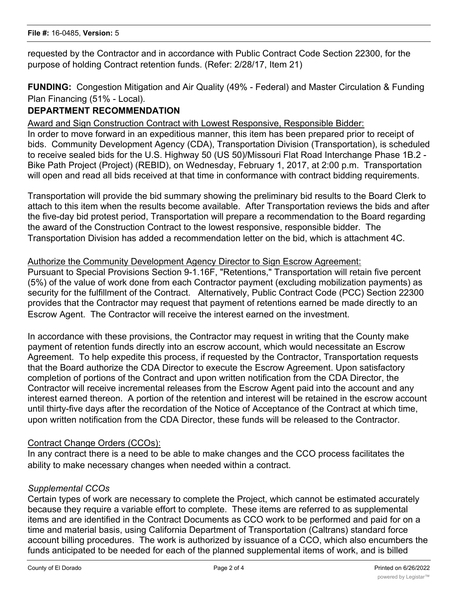requested by the Contractor and in accordance with Public Contract Code Section 22300, for the purpose of holding Contract retention funds. (Refer: 2/28/17, Item 21)

**FUNDING:** Congestion Mitigation and Air Quality (49% - Federal) and Master Circulation & Funding Plan Financing (51% - Local).

# **DEPARTMENT RECOMMENDATION**

Award and Sign Construction Contract with Lowest Responsive, Responsible Bidder:

In order to move forward in an expeditious manner, this item has been prepared prior to receipt of bids. Community Development Agency (CDA), Transportation Division (Transportation), is scheduled to receive sealed bids for the U.S. Highway 50 (US 50)/Missouri Flat Road Interchange Phase 1B.2 - Bike Path Project (Project) (REBID), on Wednesday, February 1, 2017, at 2:00 p.m. Transportation will open and read all bids received at that time in conformance with contract bidding requirements.

Transportation will provide the bid summary showing the preliminary bid results to the Board Clerk to attach to this item when the results become available. After Transportation reviews the bids and after the five-day bid protest period, Transportation will prepare a recommendation to the Board regarding the award of the Construction Contract to the lowest responsive, responsible bidder. The Transportation Division has added a recommendation letter on the bid, which is attachment 4C.

#### Authorize the Community Development Agency Director to Sign Escrow Agreement:

Pursuant to Special Provisions Section 9-1.16F, "Retentions," Transportation will retain five percent (5%) of the value of work done from each Contractor payment (excluding mobilization payments) as security for the fulfillment of the Contract. Alternatively, Public Contract Code (PCC) Section 22300 provides that the Contractor may request that payment of retentions earned be made directly to an Escrow Agent. The Contractor will receive the interest earned on the investment.

In accordance with these provisions, the Contractor may request in writing that the County make payment of retention funds directly into an escrow account, which would necessitate an Escrow Agreement. To help expedite this process, if requested by the Contractor, Transportation requests that the Board authorize the CDA Director to execute the Escrow Agreement. Upon satisfactory completion of portions of the Contract and upon written notification from the CDA Director, the Contractor will receive incremental releases from the Escrow Agent paid into the account and any interest earned thereon. A portion of the retention and interest will be retained in the escrow account until thirty-five days after the recordation of the Notice of Acceptance of the Contract at which time, upon written notification from the CDA Director, these funds will be released to the Contractor.

#### Contract Change Orders (CCOs):

In any contract there is a need to be able to make changes and the CCO process facilitates the ability to make necessary changes when needed within a contract.

#### *Supplemental CCOs*

Certain types of work are necessary to complete the Project, which cannot be estimated accurately because they require a variable effort to complete. These items are referred to as supplemental items and are identified in the Contract Documents as CCO work to be performed and paid for on a time and material basis, using California Department of Transportation (Caltrans) standard force account billing procedures. The work is authorized by issuance of a CCO, which also encumbers the funds anticipated to be needed for each of the planned supplemental items of work, and is billed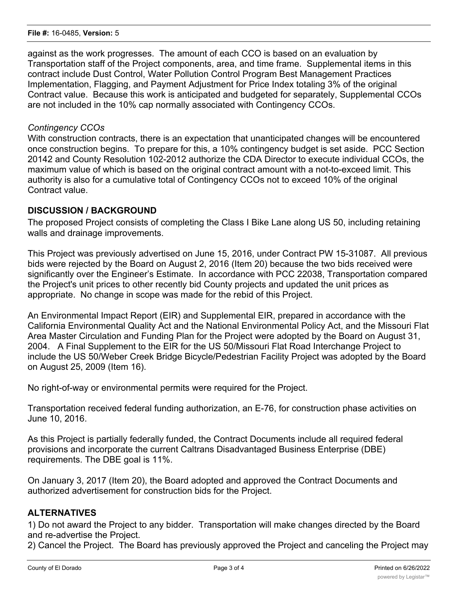against as the work progresses. The amount of each CCO is based on an evaluation by Transportation staff of the Project components, area, and time frame. Supplemental items in this contract include Dust Control, Water Pollution Control Program Best Management Practices Implementation, Flagging, and Payment Adjustment for Price Index totaling 3% of the original Contract value. Because this work is anticipated and budgeted for separately, Supplemental CCOs are not included in the 10% cap normally associated with Contingency CCOs.

#### *Contingency CCOs*

With construction contracts, there is an expectation that unanticipated changes will be encountered once construction begins. To prepare for this, a 10% contingency budget is set aside. PCC Section 20142 and County Resolution 102-2012 authorize the CDA Director to execute individual CCOs, the maximum value of which is based on the original contract amount with a not-to-exceed limit. This authority is also for a cumulative total of Contingency CCOs not to exceed 10% of the original Contract value.

#### **DISCUSSION / BACKGROUND**

The proposed Project consists of completing the Class I Bike Lane along US 50, including retaining walls and drainage improvements.

This Project was previously advertised on June 15, 2016, under Contract PW 15-31087. All previous bids were rejected by the Board on August 2, 2016 (Item 20) because the two bids received were significantly over the Engineer's Estimate. In accordance with PCC 22038, Transportation compared the Project's unit prices to other recently bid County projects and updated the unit prices as appropriate. No change in scope was made for the rebid of this Project.

An Environmental Impact Report (EIR) and Supplemental EIR, prepared in accordance with the California Environmental Quality Act and the National Environmental Policy Act, and the Missouri Flat Area Master Circulation and Funding Plan for the Project were adopted by the Board on August 31, 2004. A Final Supplement to the EIR for the US 50/Missouri Flat Road Interchange Project to include the US 50/Weber Creek Bridge Bicycle/Pedestrian Facility Project was adopted by the Board on August 25, 2009 (Item 16).

No right-of-way or environmental permits were required for the Project.

Transportation received federal funding authorization, an E-76, for construction phase activities on June 10, 2016.

As this Project is partially federally funded, the Contract Documents include all required federal provisions and incorporate the current Caltrans Disadvantaged Business Enterprise (DBE) requirements. The DBE goal is 11%.

On January 3, 2017 (Item 20), the Board adopted and approved the Contract Documents and authorized advertisement for construction bids for the Project.

#### **ALTERNATIVES**

1) Do not award the Project to any bidder. Transportation will make changes directed by the Board and re-advertise the Project.

2) Cancel the Project. The Board has previously approved the Project and canceling the Project may